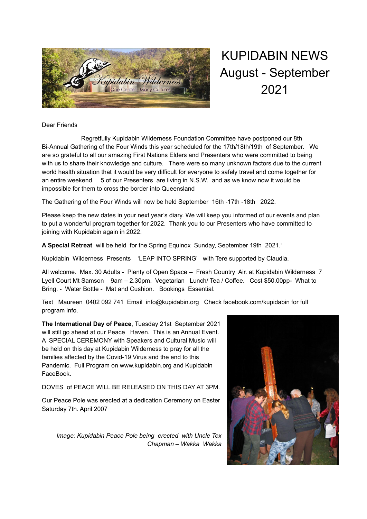

## KUPIDABIN NEWS August - September 2021

## Dear Friends

Regretfully Kupidabin Wilderness Foundation Committee have postponed our 8th Bi-Annual Gathering of the Four Winds this year scheduled for the 17th/18th/19th of September. We are so grateful to all our amazing First Nations Elders and Presenters who were committed to being with us to share their knowledge and culture. There were so many unknown factors due to the current world health situation that it would be very difficult for everyone to safely travel and come together for an entire weekend. 5 of our Presenters are living in N.S.W. and as we know now it would be impossible for them to cross the border into Queensland

The Gathering of the Four Winds will now be held September 16th -17th -18th 2022.

Please keep the new dates in your next year's diary. We will keep you informed of our events and plan to put a wonderful program together for 2022. Thank you to our Presenters who have committed to joining with Kupidabin again in 2022.

**A Special Retreat** will be held for the Spring Equinox Sunday, September 19th 2021.'

Kupidabin Wilderness Presents 'LEAP INTO SPRING' with Tere supported by Claudia.

All welcome. Max. 30 Adults - Plenty of Open Space – Fresh Country Air. at Kupidabin Wilderness 7 Lyell Court Mt Samson 9am – 2.30pm. Vegetarian Lunch/ Tea / Coffee. Cost \$50.00pp- What to Bring. - Water Bottle - Mat and Cushion. Bookings Essential.

Text Maureen 0402 092 741 Email info@kupidabin.org Check facebook.com/kupidabin for full program info.

**The International Day of Peace**, Tuesday 21st September 2021 will still go ahead at our Peace Haven. This is an Annual Event. A SPECIAL CEREMONY with Speakers and Cultural Music will be held on this day at Kupidabin Wilderness to pray for all the families affected by the Covid-19 Virus and the end to this Pandemic. Full Program on www.kupidabin.org and Kupidabin FaceBook.

DOVES of PEACE WILL BE RELEASED ON THIS DAY AT 3PM.

Our Peace Pole was erected at a dedication Ceremony on Easter Saturday 7th. April 2007

*Image: Kupidabin Peace Pole being erected with Uncle Tex Chapman – Wakka Wakka*